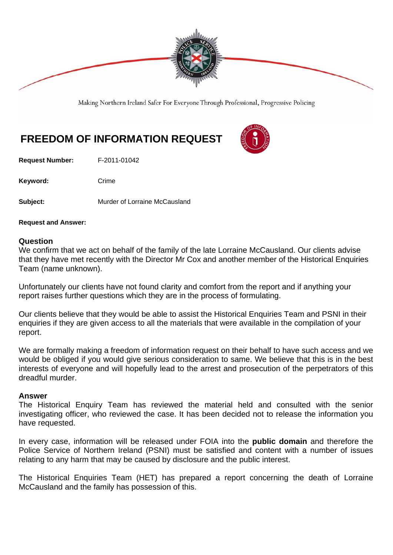

Making Northern Ireland Safer For Everyone Through Professional, Progressive Policing

# **FREEDOM OF INFORMATION REQUEST**

**Request Number:** F-2011-01042

Keyword: Crime

**Subject:** Murder of Lorraine McCausland

**Request and Answer:** 

#### **Question**

We confirm that we act on behalf of the family of the late Lorraine McCausland. Our clients advise that they have met recently with the Director Mr Cox and another member of the Historical Enquiries Team (name unknown).

Unfortunately our clients have not found clarity and comfort from the report and if anything your report raises further questions which they are in the process of formulating.

Our clients believe that they would be able to assist the Historical Enquiries Team and PSNI in their enquiries if they are given access to all the materials that were available in the compilation of your report.

We are formally making a freedom of information request on their behalf to have such access and we would be obliged if you would give serious consideration to same. We believe that this is in the best interests of everyone and will hopefully lead to the arrest and prosecution of the perpetrators of this dreadful murder.

#### **Answer**

The Historical Enquiry Team has reviewed the material held and consulted with the senior investigating officer, who reviewed the case. It has been decided not to release the information you have requested.

In every case, information will be released under FOIA into the **public domain** and therefore the Police Service of Northern Ireland (PSNI) must be satisfied and content with a number of issues relating to any harm that may be caused by disclosure and the public interest.

The Historical Enquiries Team (HET) has prepared a report concerning the death of Lorraine McCausland and the family has possession of this.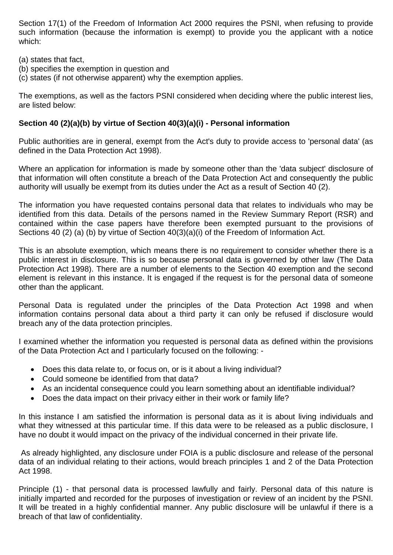Section 17(1) of the Freedom of Information Act 2000 requires the PSNI, when refusing to provide such information (because the information is exempt) to provide you the applicant with a notice which:

(a) states that fact,

- (b) specifies the exemption in question and
- (c) states (if not otherwise apparent) why the exemption applies.

The exemptions, as well as the factors PSNI considered when deciding where the public interest lies, are listed below:

# **Section 40 (2)(a)(b) by virtue of Section 40(3)(a)(i) - Personal information**

Public authorities are in general, exempt from the Act's duty to provide access to 'personal data' (as defined in the Data Protection Act 1998).

Where an application for information is made by someone other than the 'data subject' disclosure of that information will often constitute a breach of the Data Protection Act and consequently the public authority will usually be exempt from its duties under the Act as a result of Section 40 (2).

The information you have requested contains personal data that relates to individuals who may be identified from this data. Details of the persons named in the Review Summary Report (RSR) and contained within the case papers have therefore been exempted pursuant to the provisions of Sections 40 (2) (a) (b) by virtue of Section 40(3)(a)(i) of the Freedom of Information Act.

This is an absolute exemption, which means there is no requirement to consider whether there is a public interest in disclosure. This is so because personal data is governed by other law (The Data Protection Act 1998). There are a number of elements to the Section 40 exemption and the second element is relevant in this instance. It is engaged if the request is for the personal data of someone other than the applicant.

Personal Data is regulated under the principles of the Data Protection Act 1998 and when information contains personal data about a third party it can only be refused if disclosure would breach any of the data protection principles.

I examined whether the information you requested is personal data as defined within the provisions of the Data Protection Act and I particularly focused on the following: -

- Does this data relate to, or focus on, or is it about a living individual?
- Could someone be identified from that data?
- As an incidental consequence could you learn something about an identifiable individual?
- Does the data impact on their privacy either in their work or family life?

In this instance I am satisfied the information is personal data as it is about living individuals and what they witnessed at this particular time. If this data were to be released as a public disclosure, I have no doubt it would impact on the privacy of the individual concerned in their private life.

 As already highlighted, any disclosure under FOIA is a public disclosure and release of the personal data of an individual relating to their actions, would breach principles 1 and 2 of the Data Protection Act 1998.

Principle (1) - that personal data is processed lawfully and fairly. Personal data of this nature is initially imparted and recorded for the purposes of investigation or review of an incident by the PSNI. It will be treated in a highly confidential manner. Any public disclosure will be unlawful if there is a breach of that law of confidentiality.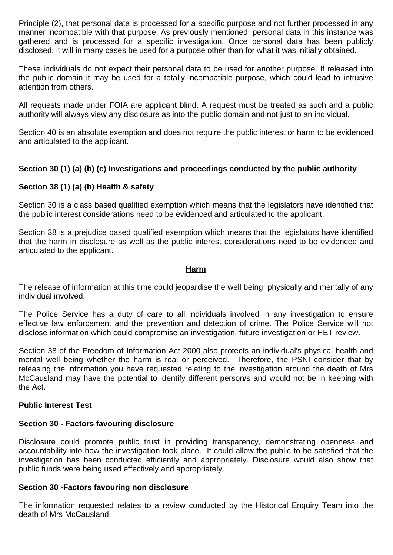Principle (2), that personal data is processed for a specific purpose and not further processed in any manner incompatible with that purpose. As previously mentioned, personal data in this instance was gathered and is processed for a specific investigation. Once personal data has been publicly disclosed, it will in many cases be used for a purpose other than for what it was initially obtained.

These individuals do not expect their personal data to be used for another purpose. If released into the public domain it may be used for a totally incompatible purpose, which could lead to intrusive attention from others.

All requests made under FOIA are applicant blind. A request must be treated as such and a public authority will always view any disclosure as into the public domain and not just to an individual.

Section 40 is an absolute exemption and does not require the public interest or harm to be evidenced and articulated to the applicant.

# **Section 30 (1) (a) (b) (c) Investigations and proceedings conducted by the public authority**

# **Section 38 (1) (a) (b) Health & safety**

Section 30 is a class based qualified exemption which means that the legislators have identified that the public interest considerations need to be evidenced and articulated to the applicant.

Section 38 is a prejudice based qualified exemption which means that the legislators have identified that the harm in disclosure as well as the public interest considerations need to be evidenced and articulated to the applicant.

## **Harm**

The release of information at this time could jeopardise the well being, physically and mentally of any individual involved.

The Police Service has a duty of care to all individuals involved in any investigation to ensure effective law enforcement and the prevention and detection of crime. The Police Service will not disclose information which could compromise an investigation, future investigation or HET review.

Section 38 of the Freedom of Information Act 2000 also protects an individual's physical health and mental well being whether the harm is real or perceived. Therefore, the PSNI consider that by releasing the information you have requested relating to the investigation around the death of Mrs McCausland may have the potential to identify different person/s and would not be in keeping with the Act.

## **Public Interest Test**

## **Section 30 - Factors favouring disclosure**

Disclosure could promote public trust in providing transparency, demonstrating openness and accountability into how the investigation took place. It could allow the public to be satisfied that the investigation has been conducted efficiently and appropriately. Disclosure would also show that public funds were being used effectively and appropriately.

#### **Section 30 -Factors favouring non disclosure**

The information requested relates to a review conducted by the Historical Enquiry Team into the death of Mrs McCausland.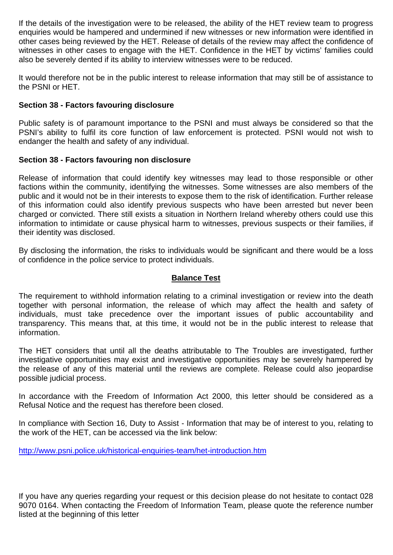If the details of the investigation were to be released, the ability of the HET review team to progress enquiries would be hampered and undermined if new witnesses or new information were identified in other cases being reviewed by the HET. Release of details of the review may affect the confidence of witnesses in other cases to engage with the HET. Confidence in the HET by victims' families could also be severely dented if its ability to interview witnesses were to be reduced.

It would therefore not be in the public interest to release information that may still be of assistance to the PSNI or HET.

## **Section 38 - Factors favouring disclosure**

Public safety is of paramount importance to the PSNI and must always be considered so that the PSNI's ability to fulfil its core function of law enforcement is protected. PSNI would not wish to endanger the health and safety of any individual.

## **Section 38 - Factors favouring non disclosure**

Release of information that could identify key witnesses may lead to those responsible or other factions within the community, identifying the witnesses. Some witnesses are also members of the public and it would not be in their interests to expose them to the risk of identification. Further release of this information could also identify previous suspects who have been arrested but never been charged or convicted. There still exists a situation in Northern Ireland whereby others could use this information to intimidate or cause physical harm to witnesses, previous suspects or their families, if their identity was disclosed.

By disclosing the information, the risks to individuals would be significant and there would be a loss of confidence in the police service to protect individuals.

## **Balance Test**

The requirement to withhold information relating to a criminal investigation or review into the death together with personal information, the release of which may affect the health and safety of individuals, must take precedence over the important issues of public accountability and transparency. This means that, at this time, it would not be in the public interest to release that information.

The HET considers that until all the deaths attributable to The Troubles are investigated, further investigative opportunities may exist and investigative opportunities may be severely hampered by the release of any of this material until the reviews are complete. Release could also jeopardise possible judicial process.

In accordance with the Freedom of Information Act 2000, this letter should be considered as a Refusal Notice and the request has therefore been closed.

In compliance with Section 16, Duty to Assist - Information that may be of interest to you, relating to the work of the HET, can be accessed via the link below:

http://www.psni.police.uk/historical-enquiries-team/het-introduction.htm

If you have any queries regarding your request or this decision please do not hesitate to contact 028 9070 0164. When contacting the Freedom of Information Team, please quote the reference number listed at the beginning of this letter